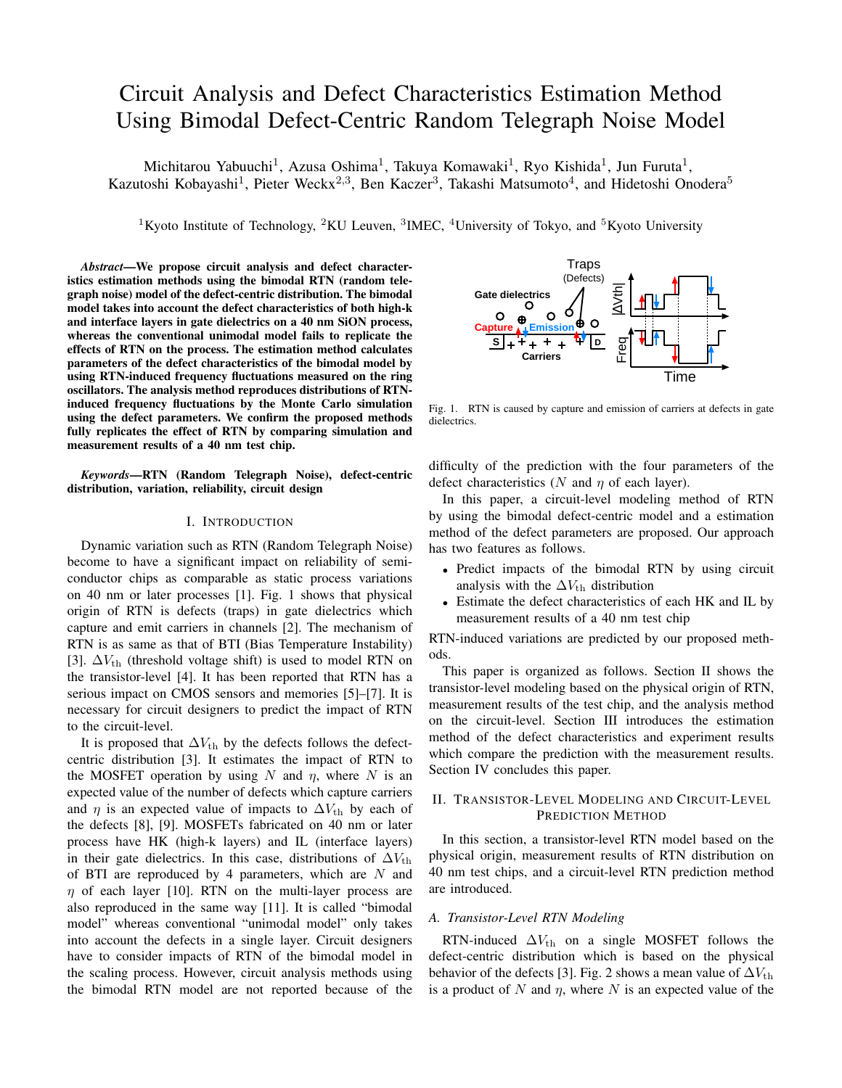# Circuit Analysis and Defect Characteristics Estimation Method Using Bimodal Defect-Centric Random Telegraph Noise Model

Michitarou Yabuuchi<sup>1</sup>, Azusa Oshima<sup>1</sup>, Takuya Komawaki<sup>1</sup>, Ryo Kishida<sup>1</sup>, Jun Furuta<sup>1</sup>, Kazutoshi Kobayashi<sup>1</sup>, Pieter Weckx<sup>2,3</sup>, Ben Kaczer<sup>3</sup>, Takashi Matsumoto<sup>4</sup>, and Hidetoshi Onodera<sup>5</sup>

<sup>1</sup>Kyoto Institute of Technology, <sup>2</sup>KU Leuven, <sup>3</sup>IMEC, <sup>4</sup>University of Tokyo, and <sup>5</sup>Kyoto University

*Abstract*—We propose circuit analysis and defect characteristics estimation methods using the bimodal RTN (random telegraph noise) model of the defect-centric distribution. The bimodal model takes into account the defect characteristics of both high-k and interface layers in gate dielectrics on a 40 nm SiON process, whereas the conventional unimodal model fails to replicate the effects of RTN on the process. The estimation method calculates parameters of the defect characteristics of the bimodal model by using RTN-induced frequency fluctuations measured on the ring oscillators. The analysis method reproduces distributions of RTNinduced frequency fluctuations by the Monte Carlo simulation using the defect parameters. We confirm the proposed methods fully replicates the effect of RTN by comparing simulation and measurement results of a 40 nm test chip.

*Keywords*—RTN (Random Telegraph Noise), defect-centric distribution, variation, reliability, circuit design

#### I. INTRODUCTION

Dynamic variation such as RTN (Random Telegraph Noise) become to have a significant impact on reliability of semiconductor chips as comparable as static process variations on 40 nm or later processes [1]. Fig. 1 shows that physical origin of RTN is defects (traps) in gate dielectrics which capture and emit carriers in channels [2]. The mechanism of RTN is as same as that of BTI (Bias Temperature Instability) [3].  $\Delta V_{\text{th}}$  (threshold voltage shift) is used to model RTN on the transistor-level [4]. It has been reported that RTN has a serious impact on CMOS sensors and memories [5]–[7]. It is necessary for circuit designers to predict the impact of RTN to the circuit-level.

It is proposed that  $\Delta V_{\text{th}}$  by the defects follows the defectcentric distribution [3]. It estimates the impact of RTN to the MOSFET operation by using  $N$  and  $\eta$ , where  $N$  is an expected value of the number of defects which capture carriers and  $\eta$  is an expected value of impacts to  $\Delta V_{\text{th}}$  by each of the defects [8], [9]. MOSFETs fabricated on 40 nm or later process have HK (high-k layers) and IL (interface layers) in their gate dielectrics. In this case, distributions of  $\Delta V_{\text{th}}$ of BTI are reproduced by 4 parameters, which are *N* and *η* of each layer [10]. RTN on the multi-layer process are also reproduced in the same way [11]. It is called "bimodal model" whereas conventional "unimodal model" only takes into account the defects in a single layer. Circuit designers have to consider impacts of RTN of the bimodal model in the scaling process. However, circuit analysis methods using the bimodal RTN model are not reported because of the



Fig. 1. RTN is caused by capture and emission of carriers at defects in gate dielectrics.

difficulty of the prediction with the four parameters of the defect characteristics (*N* and *η* of each layer).

In this paper, a circuit-level modeling method of RTN by using the bimodal defect-centric model and a estimation method of the defect parameters are proposed. Our approach has two features as follows.

- Predict impacts of the bimodal RTN by using circuit analysis with the  $\Delta V_{th}$  distribution
- *•* Estimate the defect characteristics of each HK and IL by measurement results of a 40 nm test chip

RTN-induced variations are predicted by our proposed methods.

This paper is organized as follows. Section II shows the transistor-level modeling based on the physical origin of RTN, measurement results of the test chip, and the analysis method on the circuit-level. Section III introduces the estimation method of the defect characteristics and experiment results which compare the prediction with the measurement results. Section IV concludes this paper.

#### II. TRANSISTOR-LEVEL MODELING AND CIRCUIT-LEVEL PREDICTION METHOD

In this section, a transistor-level RTN model based on the physical origin, measurement results of RTN distribution on 40 nm test chips, and a circuit-level RTN prediction method are introduced.

#### *A. Transistor-Level RTN Modeling*

RTN-induced  $\Delta V_{\text{th}}$  on a single MOSFET follows the defect-centric distribution which is based on the physical behavior of the defects [3]. Fig. 2 shows a mean value of  $\Delta V_{\text{th}}$ is a product of  $N$  and  $\eta$ , where  $N$  is an expected value of the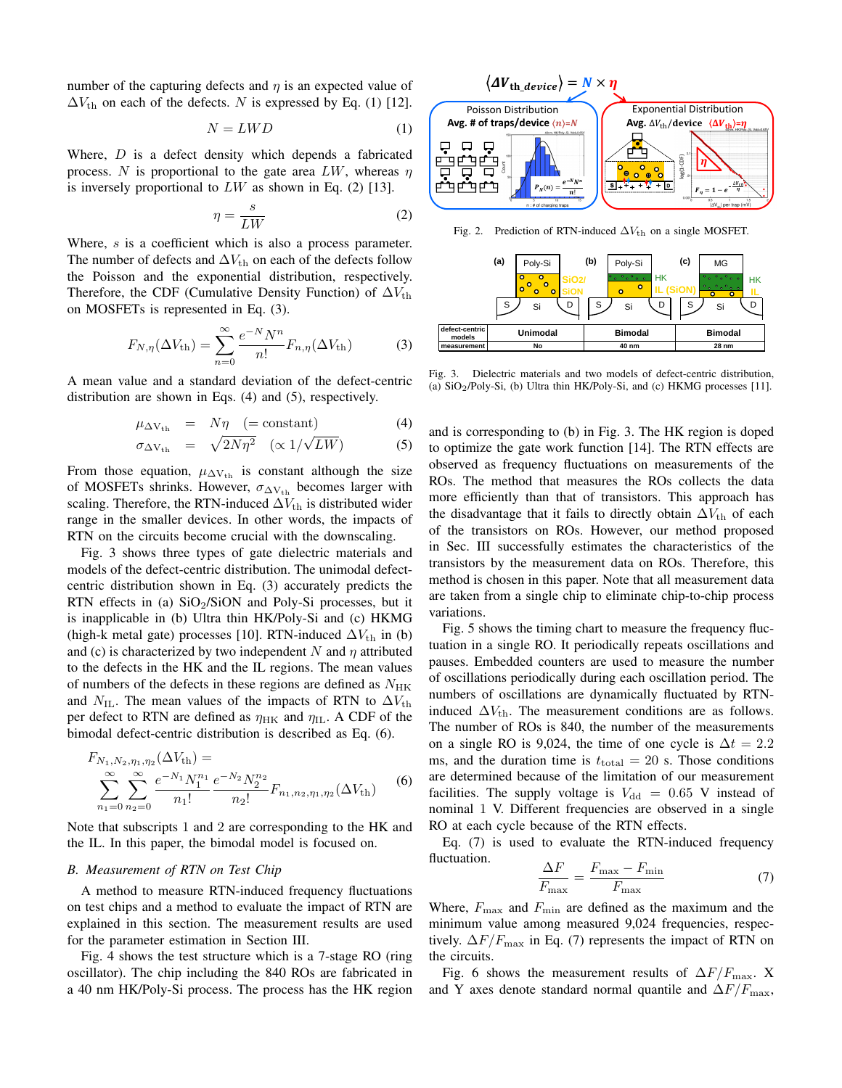number of the capturing defects and *η* is an expected value of  $\Delta V_{\text{th}}$  on each of the defects. *N* is expressed by Eq. (1) [12].

$$
N = LWD \tag{1}
$$

Where, *D* is a defect density which depends a fabricated process. *N* is proportional to the gate area *LW*, whereas *η* is inversely proportional to *LW* as shown in Eq. (2) [13].

$$
\eta = \frac{s}{LW} \tag{2}
$$

Where, *s* is a coefficient which is also a process parameter. The number of defects and  $\Delta V_{\text{th}}$  on each of the defects follow the Poisson and the exponential distribution, respectively. Therefore, the CDF (Cumulative Density Function) of  $\Delta V_{\text{th}}$ on MOSFETs is represented in Eq. (3).

$$
F_{N,\eta}(\Delta V_{\text{th}}) = \sum_{n=0}^{\infty} \frac{e^{-N} N^n}{n!} F_{n,\eta}(\Delta V_{\text{th}})
$$
 (3)

A mean value and a standard deviation of the defect-centric distribution are shown in Eqs. (4) and (5), respectively.

$$
\mu_{\Delta V_{th}} = N\eta \quad (= constant) \tag{4}
$$

$$
\sigma_{\Delta V_{\rm th}} = \sqrt{2N\eta^2} \quad (\propto 1/\sqrt{LW}) \tag{5}
$$

From those equation,  $\mu_{\Delta V_{th}}$  is constant although the size of MOSFETs shrinks. However,  $\sigma_{\Delta V_{th}}$  becomes larger with scaling. Therefore, the RTN-induced  $\Delta V_{th}$  is distributed wider range in the smaller devices. In other words, the impacts of RTN on the circuits become crucial with the downscaling.

Fig. 3 shows three types of gate dielectric materials and models of the defect-centric distribution. The unimodal defectcentric distribution shown in Eq. (3) accurately predicts the RTN effects in (a)  $SiO<sub>2</sub>/SiON$  and Poly-Si processes, but it is inapplicable in (b) Ultra thin HK/Poly-Si and (c) HKMG (high-k metal gate) processes [10]. RTN-induced  $\Delta V_{th}$  in (b) and (c) is characterized by two independent *N* and *η* attributed to the defects in the HK and the IL regions. The mean values of numbers of the defects in these regions are defined as  $N_{HK}$ and  $N_{\text{IL}}$ . The mean values of the impacts of RTN to  $\Delta V_{\text{th}}$ per defect to RTN are defined as  $η_{HK}$  and  $η_{IL}$ . A CDF of the bimodal defect-centric distribution is described as Eq. (6).

$$
F_{N_1,N_2,\eta_1,\eta_2}(\Delta V_{th}) = \sum_{n_1=0}^{\infty} \sum_{n_2=0}^{\infty} \frac{e^{-N_1} N_1^{n_1}}{n_1!} \frac{e^{-N_2} N_2^{n_2}}{n_2!} F_{n_1,n_2,\eta_1,\eta_2}(\Delta V_{th}) \tag{6}
$$

Note that subscripts 1 and 2 are corresponding to the HK and the IL. In this paper, the bimodal model is focused on.

#### *B. Measurement of RTN on Test Chip*

(∆*V*th) =

A method to measure RTN-induced frequency fluctuations on test chips and a method to evaluate the impact of RTN are explained in this section. The measurement results are used for the parameter estimation in Section III.

Fig. 4 shows the test structure which is a 7-stage RO (ring oscillator). The chip including the 840 ROs are fabricated in a 40 nm HK/Poly-Si process. The process has the HK region



Fig. 2. Prediction of RTN-induced  $\Delta V_{\text{th}}$  on a single MOSFET.

|                          | (a)             | Poly-Si                                                                  |       | (b)            | Poly-Si                                             |           | (c)            | ΜG                                                                                                                                                                             |    |  |
|--------------------------|-----------------|--------------------------------------------------------------------------|-------|----------------|-----------------------------------------------------|-----------|----------------|--------------------------------------------------------------------------------------------------------------------------------------------------------------------------------|----|--|
|                          |                 | $\overline{ }$<br>о<br>$\circ$<br>o<br>$\bullet$<br>$\bullet$<br>$\circ$ | 3iO2/ |                | $\circ \circ \circ \circ$<br>$\bullet$<br>$\bullet$ | <b>HK</b> |                | $\overline{\phantom{a}}$ $\overline{\phantom{a}}$ $\overline{\phantom{a}}$ $\overline{\phantom{a}}$ $\overline{\phantom{a}}$<br>۰<br>٠<br>$\sim$ 0.0<br>$\bullet$<br>$\bullet$ | HK |  |
|                          | S               | Si                                                                       | D     | S              | Si                                                  | D         | S              | Si                                                                                                                                                                             | D  |  |
| defect-centric<br>models | <b>Unimodal</b> |                                                                          |       | <b>Bimodal</b> |                                                     |           | <b>Bimodal</b> |                                                                                                                                                                                |    |  |
| measurement              |                 | No                                                                       |       |                | 40 nm                                               |           |                | 28 nm                                                                                                                                                                          |    |  |

Fig. 3. Dielectric materials and two models of defect-centric distribution, (a)  $SiO_2/Poly-Si$ , (b) Ultra thin HK/Poly-Si, and (c) HKMG processes [11].

and is corresponding to (b) in Fig. 3. The HK region is doped to optimize the gate work function [14]. The RTN effects are observed as frequency fluctuations on measurements of the ROs. The method that measures the ROs collects the data more efficiently than that of transistors. This approach has the disadvantage that it fails to directly obtain  $\Delta V_{\text{th}}$  of each of the transistors on ROs. However, our method proposed in Sec. III successfully estimates the characteristics of the transistors by the measurement data on ROs. Therefore, this method is chosen in this paper. Note that all measurement data are taken from a single chip to eliminate chip-to-chip process variations.

Fig. 5 shows the timing chart to measure the frequency fluctuation in a single RO. It periodically repeats oscillations and pauses. Embedded counters are used to measure the number of oscillations periodically during each oscillation period. The numbers of oscillations are dynamically fluctuated by RTNinduced  $\Delta V_{\text{th}}$ . The measurement conditions are as follows. The number of ROs is 840, the number of the measurements on a single RO is 9,024, the time of one cycle is  $\Delta t = 2.2$ ms, and the duration time is  $t_{\text{total}} = 20$  s. Those conditions are determined because of the limitation of our measurement facilities. The supply voltage is  $V_{dd} = 0.65$  V instead of nominal 1 V. Different frequencies are observed in a single RO at each cycle because of the RTN effects.

Eq. (7) is used to evaluate the RTN-induced frequency fluctuation.

$$
\frac{\Delta F}{F_{\text{max}}} = \frac{F_{\text{max}} - F_{\text{min}}}{F_{\text{max}}}
$$
(7)

Where,  $F_{\text{max}}$  and  $F_{\text{min}}$  are defined as the maximum and the minimum value among measured 9,024 frequencies, respectively.  $\Delta F/F_{\text{max}}$  in Eq. (7) represents the impact of RTN on the circuits.

Fig. 6 shows the measurement results of ∆*F/F*max. X and Y axes denote standard normal quantile and  $\Delta F/F_{\text{max}}$ ,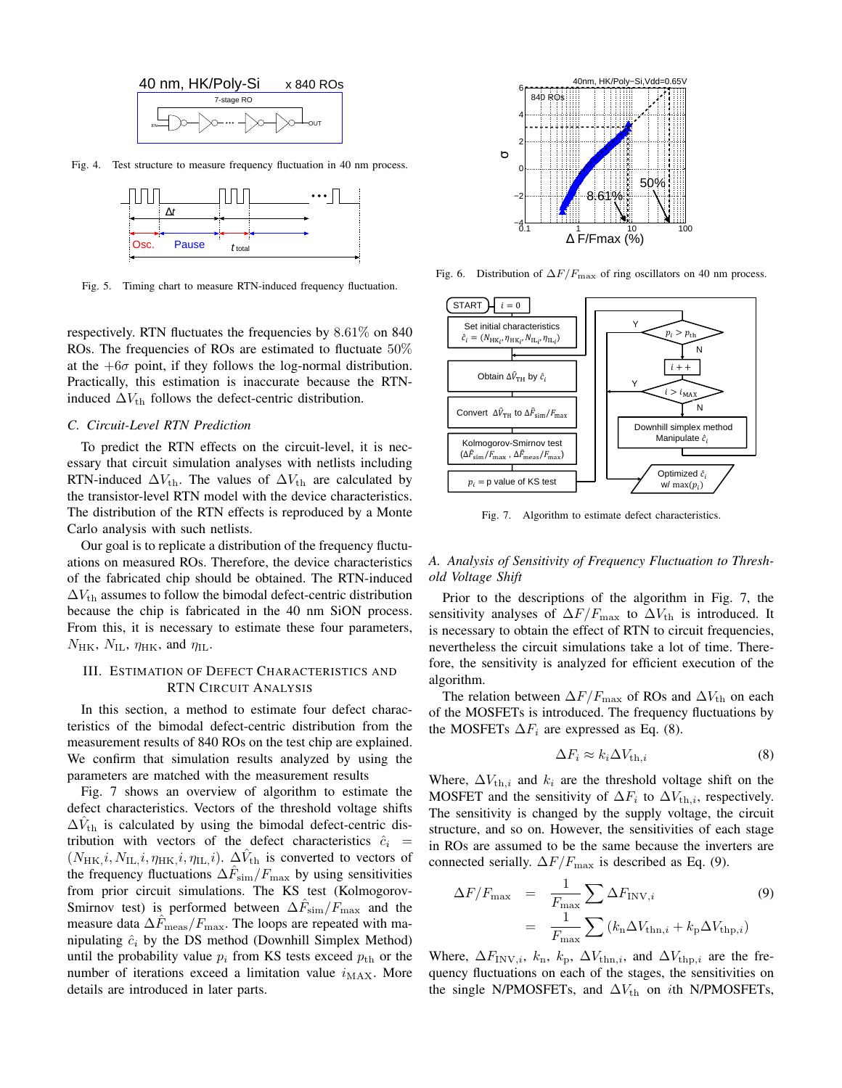

Fig. 4. Test structure to measure frequency fluctuation in 40 nm process.



Fig. 5. Timing chart to measure RTN-induced frequency fluctuation.

respectively. RTN fluctuates the frequencies by 8*.*61% on 840 ROs. The frequencies of ROs are estimated to fluctuate 50% at the  $+6\sigma$  point, if they follows the log-normal distribution. Practically, this estimation is inaccurate because the RTNinduced  $\Delta V_{\text{th}}$  follows the defect-centric distribution.

#### *C. Circuit-Level RTN Prediction*

To predict the RTN effects on the circuit-level, it is necessary that circuit simulation analyses with netlists including RTN-induced  $\Delta V_{\text{th}}$ . The values of  $\Delta V_{\text{th}}$  are calculated by the transistor-level RTN model with the device characteristics. The distribution of the RTN effects is reproduced by a Monte Carlo analysis with such netlists.

Our goal is to replicate a distribution of the frequency fluctuations on measured ROs. Therefore, the device characteristics of the fabricated chip should be obtained. The RTN-induced  $\Delta V_{\text{th}}$  assumes to follow the bimodal defect-centric distribution because the chip is fabricated in the 40 nm SiON process. From this, it is necessary to estimate these four parameters,  $N_{HK}$ ,  $N_{IL}$ ,  $\eta_{HK}$ , and  $\eta_{IL}$ .

### III. ESTIMATION OF DEFECT CHARACTERISTICS AND RTN CIRCUIT ANALYSIS

In this section, a method to estimate four defect characteristics of the bimodal defect-centric distribution from the measurement results of 840 ROs on the test chip are explained. We confirm that simulation results analyzed by using the parameters are matched with the measurement results

Fig. 7 shows an overview of algorithm to estimate the defect characteristics. Vectors of the threshold voltage shifts  $\Delta V_{\text{th}}$  is calculated by using the bimodal defect-centric distribution with vectors of the defect characteristics  $\hat{c}_i$  =  $(N_{HK}, i, N_{IL}, i, \eta_{HK}, i, \eta_{IL}, i)$ .  $\Delta V_{th}$  is converted to vectors of the frequency fluctuations ∆*F*ˆ sim*/F*max by using sensitivities from prior circuit simulations. The KS test (Kolmogorov-Smirnov test) is performed between ∆*F*ˆ sim*/F*max and the measure data  $\Delta F_{\rm meas}/F_{\rm max}$ . The loops are repeated with manipulating  $\hat{c}_i$  by the DS method (Downhill Simplex Method) until the probability value  $p_i$  from KS tests exceed  $p_{th}$  or the number of iterations exceed a limitation value  $i_{MAX}$ . More details are introduced in later parts.



Fig. 6. Distribution of ∆*F/F*max of ring oscillators on 40 nm process.



Fig. 7. Algorithm to estimate defect characteristics.

#### *A. Analysis of Sensitivity of Frequency Fluctuation to Threshold Voltage Shift*

Prior to the descriptions of the algorithm in Fig. 7, the sensitivity analyses of  $\Delta F/F_{\text{max}}$  to  $\Delta V_{\text{th}}$  is introduced. It is necessary to obtain the effect of RTN to circuit frequencies, nevertheless the circuit simulations take a lot of time. Therefore, the sensitivity is analyzed for efficient execution of the algorithm.

The relation between  $\Delta F/F_{\text{max}}$  of ROs and  $\Delta V_{\text{th}}$  on each of the MOSFETs is introduced. The frequency fluctuations by the MOSFETs  $\Delta F_i$  are expressed as Eq. (8).

$$
\Delta F_i \approx k_i \Delta V_{\text{th},i} \tag{8}
$$

Where,  $\Delta V_{th,i}$  and  $k_i$  are the threshold voltage shift on the MOSFET and the sensitivity of  $\Delta F_i$  to  $\Delta V_{th,i}$ , respectively. The sensitivity is changed by the supply voltage, the circuit structure, and so on. However, the sensitivities of each stage in ROs are assumed to be the same because the inverters are connected serially.  $\Delta F/F_{\text{max}}$  is described as Eq. (9).

$$
\Delta F/F_{\text{max}} = \frac{1}{F_{\text{max}}} \sum \Delta F_{\text{INV},i} \qquad (9)
$$

$$
= \frac{1}{F_{\text{max}}} \sum (k_{\text{n}} \Delta V_{\text{thn},i} + k_{\text{p}} \Delta V_{\text{thp},i})
$$

Where,  $\Delta F_{\text{INV},i}$ ,  $k_{\text{n}}$ ,  $k_{\text{p}}$ ,  $\Delta V_{\text{thn},i}$ , and  $\Delta V_{\text{thp},i}$  are the frequency fluctuations on each of the stages, the sensitivities on the single N/PMOSFETs, and  $\Delta V_{\text{th}}$  on *i*th N/PMOSFETs,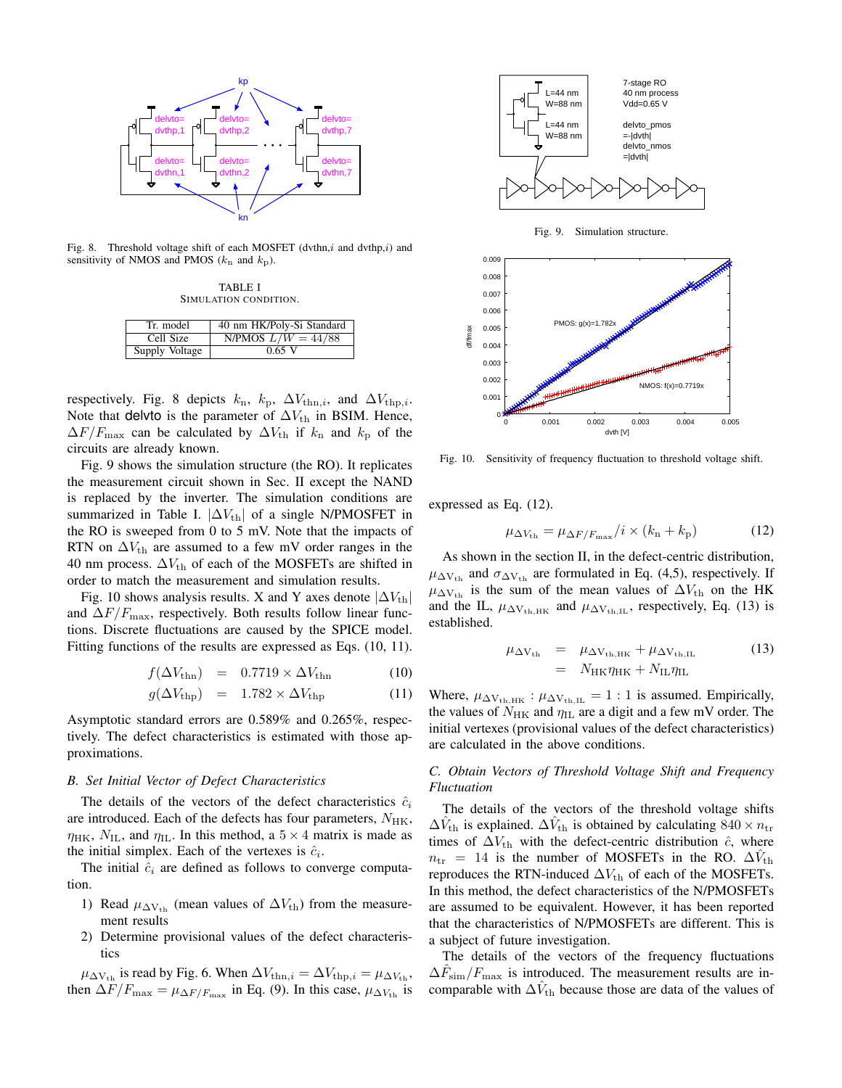

Fig. 8. Threshold voltage shift of each MOSFET (dvthn,*i* and dvthp,*i*) and sensitivity of NMOS and PMOS (*k*n and *k*p).

TABLE I SIMULATION CONDITION.

| Tr. model      | 40 nm HK/Poly-Si Standard |  |  |  |  |  |
|----------------|---------------------------|--|--|--|--|--|
| Cell Size      | N/PMOS $L/W = 44/88$      |  |  |  |  |  |
| Supply Voltage | $0.65$ V                  |  |  |  |  |  |

respectively. Fig. 8 depicts  $k_n$ ,  $k_p$ ,  $\Delta V_{\text{thn},i}$ , and  $\Delta V_{\text{thp},i}$ . Note that delvto is the parameter of  $\Delta V_{\text{th}}$  in BSIM. Hence,  $\Delta F/F_{\text{max}}$  can be calculated by  $\Delta V_{\text{th}}$  if  $k_{\text{n}}$  and  $k_{\text{p}}$  of the circuits are already known.

Fig. 9 shows the simulation structure (the RO). It replicates the measurement circuit shown in Sec. II except the NAND is replaced by the inverter. The simulation conditions are summarized in Table I.  $|\Delta V_{th}|$  of a single N/PMOSFET in the RO is sweeped from 0 to 5 mV. Note that the impacts of RTN on  $\Delta V_{\text{th}}$  are assumed to a few mV order ranges in the 40 nm process.  $\Delta V_{\text{th}}$  of each of the MOSFETs are shifted in order to match the measurement and simulation results.

Fig. 10 shows analysis results. X and Y axes denote  $|\Delta V_{\text{th}}|$ and  $\Delta F/F_{\text{max}}$ , respectively. Both results follow linear functions. Discrete fluctuations are caused by the SPICE model. Fitting functions of the results are expressed as Eqs. (10, 11).

$$
f(\Delta V_{\text{thn}}) = 0.7719 \times \Delta V_{\text{thn}} \tag{10}
$$

$$
g(\Delta V_{\rm thp}) = 1.782 \times \Delta V_{\rm thp}
$$
 (11)

Asymptotic standard errors are 0.589% and 0.265%, respectively. The defect characteristics is estimated with those approximations.

## *B. Set Initial Vector of Defect Characteristics*

The details of the vectors of the defect characteristics  $\hat{c}_i$ are introduced. Each of the defects has four parameters,  $N_{HK}$ ,  $\eta_{HK}$ ,  $N_{IL}$ , and  $\eta_{IL}$ . In this method, a  $5 \times 4$  matrix is made as the initial simplex. Each of the vertexes is  $\hat{c}_i$ .

The initial  $\hat{c}_i$  are defined as follows to converge computation.

- 1) Read  $\mu_{\Delta V_{th}}$  (mean values of  $\Delta V_{th}$ ) from the measurement results
- 2) Determine provisional values of the defect characteristics

 $\mu_{\Delta V_{th}}$  is read by Fig. 6. When  $\Delta V_{\text{thn},i} = \Delta V_{\text{thp},i} = \mu_{\Delta V_{th}}$ , then  $\Delta F/F_{\text{max}} = \mu_{\Delta F/F_{\text{max}}}$  in Eq. (9). In this case,  $\mu_{\Delta V_{\text{th}}}$  is



Fig. 9. Simulation structure.



Fig. 10. Sensitivity of frequency fluctuation to threshold voltage shift.

expressed as Eq. (12).

$$
\mu_{\Delta V_{\rm th}} = \mu_{\Delta F/F_{\rm max}}/i \times (k_{\rm n} + k_{\rm p})
$$
 (12)

As shown in the section II, in the defect-centric distribution,  $\mu_{\Delta V_{th}}$  and  $\sigma_{\Delta V_{th}}$  are formulated in Eq. (4,5), respectively. If  $\mu_{\Delta V_{th}}$  is the sum of the mean values of  $\Delta V_{th}$  on the HK and the IL,  $\mu_{\Delta V_{th,HK}}$  and  $\mu_{\Delta V_{th,IL}}$ , respectively, Eq. (13) is established.

$$
\mu_{\Delta V_{th}} = \mu_{\Delta V_{th,HK}} + \mu_{\Delta V_{th,LL}} \tag{13}
$$
\n
$$
= N_{HK} \eta_{HK} + N_{LL} \eta_{LL} \tag{13}
$$

Where,  $\mu_{\Delta V_{th,HK}}$ :  $\mu_{\Delta V_{th,IL}} = 1 : 1$  is assumed. Empirically, the values of  $N_{HK}$  and  $\eta_{IL}$  are a digit and a few mV order. The initial vertexes (provisional values of the defect characteristics) are calculated in the above conditions.

*C. Obtain Vectors of Threshold Voltage Shift and Frequency Fluctuation*

The details of the vectors of the threshold voltage shifts  $\Delta V_{\text{th}}$  is explained.  $\Delta V_{\text{th}}$  is obtained by calculating  $840 \times n_{\text{tr}}$ times of  $\Delta V_{\text{th}}$  with the defect-centric distribution  $\hat{c}$ , where  $n_{\rm tr}$  = 14 is the number of MOSFETs in the RO.  $\Delta \hat{V}_{\rm th}$ reproduces the RTN-induced  $\Delta V_{\text{th}}$  of each of the MOSFETs. In this method, the defect characteristics of the N/PMOSFETs are assumed to be equivalent. However, it has been reported that the characteristics of N/PMOSFETs are different. This is a subject of future investigation.

The details of the vectors of the frequency fluctuations  $\Delta \hat{F}_{sim}/F_{max}$  is introduced. The measurement results are incomparable with  $\Delta \hat{V}_{\text{th}}$  because those are data of the values of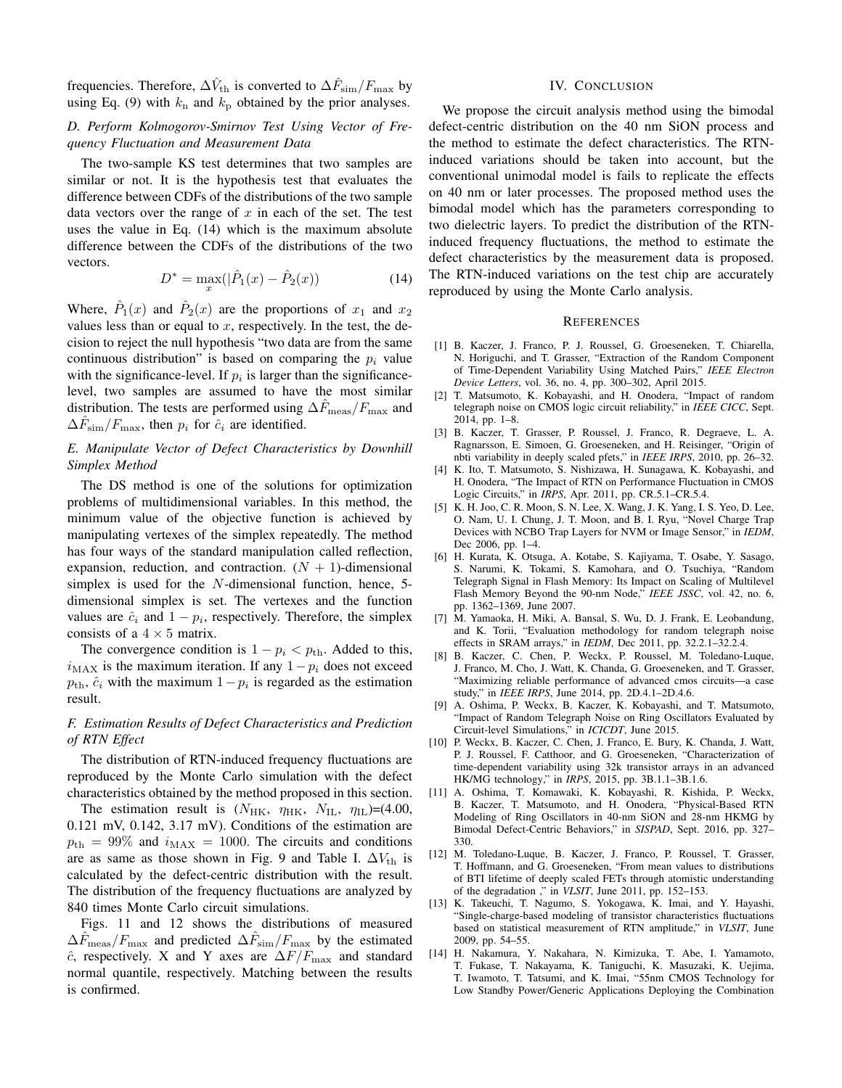frequencies. Therefore,  $\Delta \hat{V}_{\text{th}}$  is converted to  $\Delta \hat{F}_{\text{sim}}/F_{\text{max}}$  by using Eq. (9) with  $k_n$  and  $k_p$  obtained by the prior analyses.

## *D. Perform Kolmogorov-Smirnov Test Using Vector of Frequency Fluctuation and Measurement Data*

The two-sample KS test determines that two samples are similar or not. It is the hypothesis test that evaluates the difference between CDFs of the distributions of the two sample data vectors over the range of *x* in each of the set. The test uses the value in Eq. (14) which is the maximum absolute difference between the CDFs of the distributions of the two vectors.

$$
D^* = \max_x(|\hat{P}_1(x) - \hat{P}_2(x))
$$
\n(14)

Where,  $\hat{P}_1(x)$  and  $\hat{P}_2(x)$  are the proportions of  $x_1$  and  $x_2$ values less than or equal to  $x$ , respectively. In the test, the decision to reject the null hypothesis "two data are from the same continuous distribution" is based on comparing the *p<sup>i</sup>* value with the significance-level. If  $p_i$  is larger than the significancelevel, two samples are assumed to have the most similar distribution. The tests are performed using ∆*F*ˆmeas*/F*max and  $\Delta \hat{F}_{sim}/F_{max}$ , then  $p_i$  for  $\hat{c}_i$  are identified.

### *E. Manipulate Vector of Defect Characteristics by Downhill Simplex Method*

The DS method is one of the solutions for optimization problems of multidimensional variables. In this method, the minimum value of the objective function is achieved by manipulating vertexes of the simplex repeatedly. The method has four ways of the standard manipulation called reflection, expansion, reduction, and contraction.  $(N + 1)$ -dimensional simplex is used for the *N*-dimensional function, hence, 5 dimensional simplex is set. The vertexes and the function values are  $\hat{c}_i$  and  $1 - p_i$ , respectively. Therefore, the simplex consists of a  $4 \times 5$  matrix.

The convergence condition is  $1 - p_i < p_{\text{th}}$ . Added to this,  $i<sub>MAX</sub>$  is the maximum iteration. If any  $1-p_i$  does not exceed  $p_{\text{th}}$ ,  $\hat{c}_i$  with the maximum  $1-p_i$  is regarded as the estimation result.

## *F. Estimation Results of Defect Characteristics and Prediction of RTN Effect*

The distribution of RTN-induced frequency fluctuations are reproduced by the Monte Carlo simulation with the defect characteristics obtained by the method proposed in this section.

The estimation result is  $(N_{HK}, \eta_{HK}, N_{IL}, \eta_{IL}) = (4.00,$ 0.121 mV, 0.142, 3.17 mV). Conditions of the estimation are  $p_{\text{th}} = 99\%$  and  $i_{\text{MAX}} = 1000$ . The circuits and conditions are as same as those shown in Fig. 9 and Table I.  $\Delta V_{\text{th}}$  is calculated by the defect-centric distribution with the result. The distribution of the frequency fluctuations are analyzed by 840 times Monte Carlo circuit simulations.

Figs. 11 and 12 shows the distributions of measured  $\Delta \hat{F}_{\text{meas}}/F_{\text{max}}$  and predicted  $\Delta \hat{F}_{\text{sim}}/F_{\text{max}}$  by the estimated *c*ˆ, respectively. X and Y axes are ∆*F/F*max and standard normal quantile, respectively. Matching between the results is confirmed.

#### IV. CONCLUSION

We propose the circuit analysis method using the bimodal defect-centric distribution on the 40 nm SiON process and the method to estimate the defect characteristics. The RTNinduced variations should be taken into account, but the conventional unimodal model is fails to replicate the effects on 40 nm or later processes. The proposed method uses the bimodal model which has the parameters corresponding to two dielectric layers. To predict the distribution of the RTNinduced frequency fluctuations, the method to estimate the defect characteristics by the measurement data is proposed. The RTN-induced variations on the test chip are accurately reproduced by using the Monte Carlo analysis.

#### **REFERENCES**

- [1] B. Kaczer, J. Franco, P. J. Roussel, G. Groeseneken, T. Chiarella, N. Horiguchi, and T. Grasser, "Extraction of the Random Component of Time-Dependent Variability Using Matched Pairs," *IEEE Electron Device Letters*, vol. 36, no. 4, pp. 300–302, April 2015.
- [2] T. Matsumoto, K. Kobayashi, and H. Onodera, "Impact of random telegraph noise on CMOS logic circuit reliability," in *IEEE CICC*, Sept. 2014, pp. 1–8.
- [3] B. Kaczer, T. Grasser, P. Roussel, J. Franco, R. Degraeve, L. A. Ragnarsson, E. Simoen, G. Groeseneken, and H. Reisinger, "Origin of nbti variability in deeply scaled pfets," in *IEEE IRPS*, 2010, pp. 26–32.
- [4] K. Ito, T. Matsumoto, S. Nishizawa, H. Sunagawa, K. Kobayashi, and H. Onodera, "The Impact of RTN on Performance Fluctuation in CMOS Logic Circuits," in *IRPS*, Apr. 2011, pp. CR.5.1–CR.5.4.
- [5] K. H. Joo, C. R. Moon, S. N. Lee, X. Wang, J. K. Yang, I. S. Yeo, D. Lee, O. Nam, U. I. Chung, J. T. Moon, and B. I. Ryu, "Novel Charge Trap Devices with NCBO Trap Layers for NVM or Image Sensor," in *IEDM*, Dec 2006, pp. 1–4.
- [6] H. Kurata, K. Otsuga, A. Kotabe, S. Kajiyama, T. Osabe, Y. Sasago, S. Narumi, K. Tokami, S. Kamohara, and O. Tsuchiya, "Random Telegraph Signal in Flash Memory: Its Impact on Scaling of Multilevel Flash Memory Beyond the 90-nm Node," *IEEE JSSC*, vol. 42, no. 6, pp. 1362–1369, June 2007.
- [7] M. Yamaoka, H. Miki, A. Bansal, S. Wu, D. J. Frank, E. Leobandung, and K. Torii, "Evaluation methodology for random telegraph noise effects in SRAM arrays," in *IEDM*, Dec 2011, pp. 32.2.1–32.2.4.
- [8] B. Kaczer, C. Chen, P. Weckx, P. Roussel, M. Toledano-Luque, J. Franco, M. Cho, J. Watt, K. Chanda, G. Groeseneken, and T. Grasser, "Maximizing reliable performance of advanced cmos circuits—a case study," in *IEEE IRPS*, June 2014, pp. 2D.4.1–2D.4.6.
- [9] A. Oshima, P. Weckx, B. Kaczer, K. Kobayashi, and T. Matsumoto, "Impact of Random Telegraph Noise on Ring Oscillators Evaluated by Circuit-level Simulations," in *ICICDT*, June 2015.
- [10] P. Weckx, B. Kaczer, C. Chen, J. Franco, E. Bury, K. Chanda, J. Watt, P. J. Roussel, F. Catthoor, and G. Groeseneken, "Characterization of time-dependent variability using 32k transistor arrays in an advanced HK/MG technology," in *IRPS*, 2015, pp. 3B.1.1–3B.1.6.
- [11] A. Oshima, T. Komawaki, K. Kobayashi, R. Kishida, P. Weckx, B. Kaczer, T. Matsumoto, and H. Onodera, "Physical-Based RTN Modeling of Ring Oscillators in 40-nm SiON and 28-nm HKMG by Bimodal Defect-Centric Behaviors," in *SISPAD*, Sept. 2016, pp. 327– 330.
- [12] M. Toledano-Luque, B. Kaczer, J. Franco, P. Roussel, T. Grasser, T. Hoffmann, and G. Groeseneken, "From mean values to distributions of BTI lifetime of deeply scaled FETs through atomistic understanding of the degradation ," in *VLSIT*, June 2011, pp. 152–153.
- [13] K. Takeuchi, T. Nagumo, S. Yokogawa, K. Imai, and Y. Hayashi, "Single-charge-based modeling of transistor characteristics fluctuations based on statistical measurement of RTN amplitude," in *VLSIT*, June 2009, pp. 54–55.
- [14] H. Nakamura, Y. Nakahara, N. Kimizuka, T. Abe, I. Yamamoto, T. Fukase, T. Nakayama, K. Taniguchi, K. Masuzaki, K. Uejima, T. Iwamoto, T. Tatsumi, and K. Imai, "55nm CMOS Technology for Low Standby Power/Generic Applications Deploying the Combination